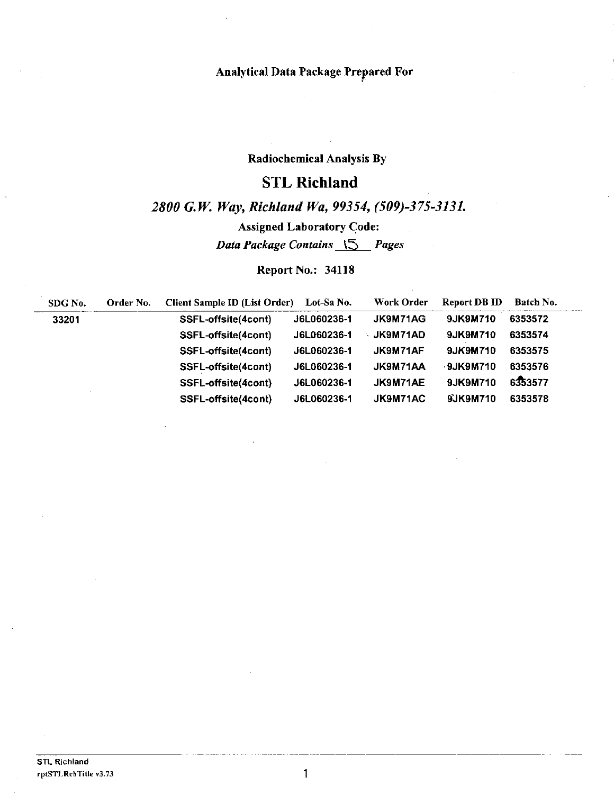## Analytical Data Package Prepared For '

## Radiochemical Analysis By

# STL **Richland**

# *2800 G. W. Way, Richland Wa, 99354, (509)-375-3131.*

Assigned Laboratory Gode:

*Data Package Contains* \'.5 *Pages* 

Report No.: 34118

| SDG No. | Order No. | Client Sample ID (List Order) | Lot-Sa No.  | Work Order      | Report DB ID | Batch No. |
|---------|-----------|-------------------------------|-------------|-----------------|--------------|-----------|
| 33201   |           | SSFL-offsite(4cont)           | J6L060236-1 | <b>JK9M71AG</b> | 9JK9M710     | 6353572   |
|         |           | SSFL-offsite(4cont)           | J6L060236-1 | ∴ JK9M71AD      | 9JK9M710     | 6353574   |
|         |           | SSFL-offsite(4cont)           | J6L060236-1 | JK9M71AF        | 9JK9M710     | 6353575   |
|         |           | SSFL-offsite(4cont)           | J6L060236-1 | JK9M71AA        | $-9JK9M710$  | 6353576   |
|         |           | SSFL-offsite(4cont)           | J6L060236-1 | JK9M71AE        | 9JK9M710     | 6353577   |
|         |           | SSFL-offsite(4cont)           | J6L060236-1 | JK9M71AC        | 9JK9M710     | 6353578   |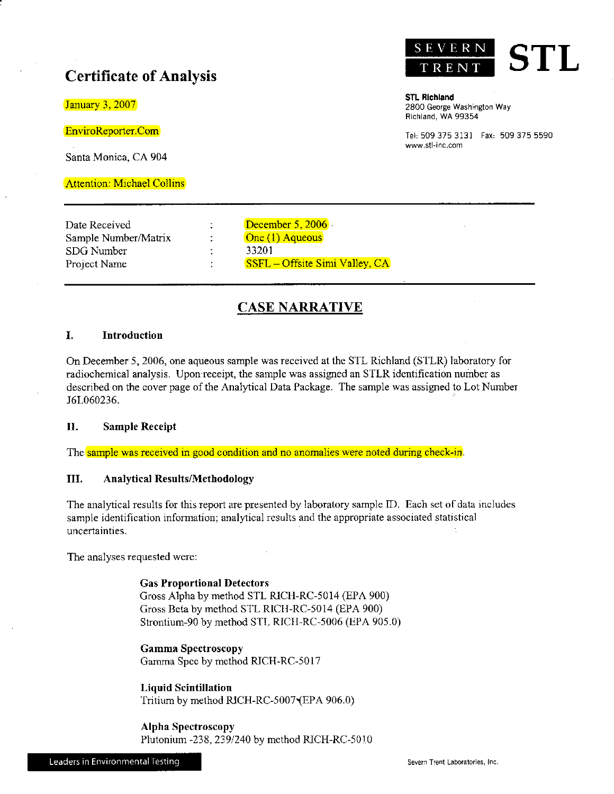# **Certificate of Analysis**

January 3, 2007

EnviroReporter.Com

Santa Monica, CA 904

Attention: Michael Collins



**STL Richland 2800 George Washington Way**  Richland, WA 99354

Tel, 509 375 3131 Fax, 509 375 5590 **www.stl-inc.com** 

Date Received Sample Number/Matrix SDG Number Project Name

 $\ddot{z}$  $\ddot{\cdot}$ ÷ December 5, 2006. One (1) Aqueous 33201 SSFL - Offsite Simi Valley, CA

## **CASE NARRATIVE**

#### **I. Introduction**

On December 5, 2006, one aqueous sample was received at the STL Richland (STLR) laboratory for radiochemical analysis. Upon receipt, the sample was assigned an STLR identification number as described on the cover page of the Analytical Data Package. The sample was assigned to Lot Number J6L060236.

#### **II. Sample Receipt**

The sample was received in good condition and no anomalies were noted during check-in.

#### **III. Analytical Results/Methodology**

The analytical results for this report are presented by laboratory sample ID. Each set of data includes sample identification information; analytical results and the appropriate associated statistical **uncertainties.** 

The analyses requested were:

**Gas Proportional Detectors**  Gross Alpha by method STL RICH-RC-5014 (EPA 900) Gross Beta by method STL RICH-RC-5014 (EPA 900) Strontium-90 by method STL RICH-RC-5006 (EPA 905.0)

**Gamma Spectroscopy**  Gamma Spec by method RJCH-RC-5017

**Liqnid Scintillation**  Tritium by method RJCH-RC-5007'(EPA 906.0)

**Alpha Spectroscopy**  Plutonium -238, 239/240 by method RJCH-RC-5010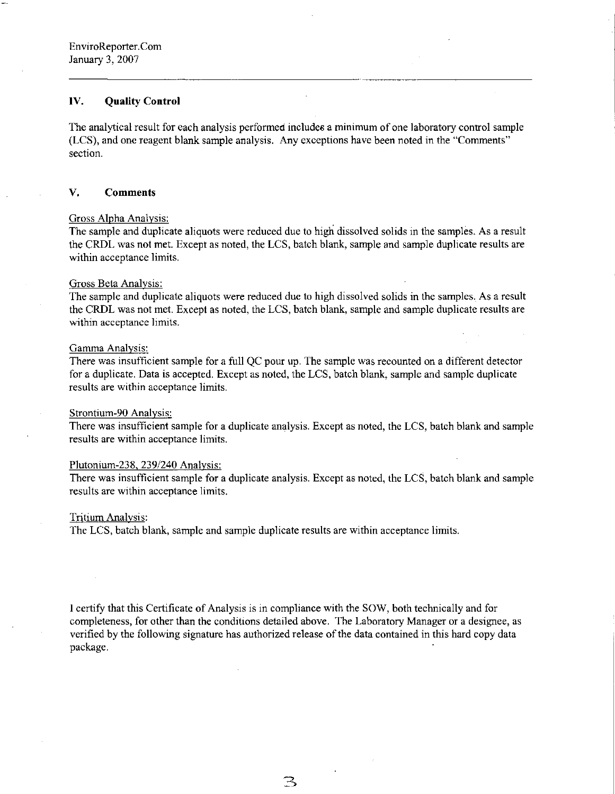#### **IV. Quality Control**

The analytical result for each analysis performed includes a minimum of one laboratory control sample (LCS), and one reagent blank sample analysis. Any exceptions have been noted in the "Comments" section.

#### **V. Comments**

#### Gross Alpha Analysis:

The sample and duplicate aliquots were reduced due to high dissolved solids in the samples. As a result the CRDL was not met. Except as noted, the LCS, batch blank, sample and sample duplicate results are within acceptance limits.

#### Gross Beta Analysis:

The sample and duplicate aliquots were reduced due to high dissolved solids in the samples. As a result the CRDL was not met. Except as noted, the LCS, batch blank, sample and sample duplicate results are within acceptance limits.

#### Gamma Analysis:

There was insufficient sample for a full QC pour up. The sample was recounted on a different detector for a duplicate. Data is accepted. Except as noted, the LCS, batch blank, sample and sample duplicate results are within acceptance limits.

#### Strontium-90 Analysis:

There was insufficient sample for a duplicate analysis. Except as noted, the LCS, batch blank and sample results are within acceptance limits.

#### Plutonium-238. 239/240 Analysis:

There was insufficient sample for a duplicate analysis. Except as noted, the LCS, batch blank and sample results are within acceptance limits.

#### Tritium Analysis:

The LCS, batch blank, sample and sample duplicate results are within acceptance limits.

I certify that this Certificate of Analysis is in compliance with the SOW, both technically and for completeness, for other than the conditions detailed above. The Laboratory Manager or a designee, as verified by the following signature has authorized release of the data contained in this hard copy data package.

 $\mathbb{B}$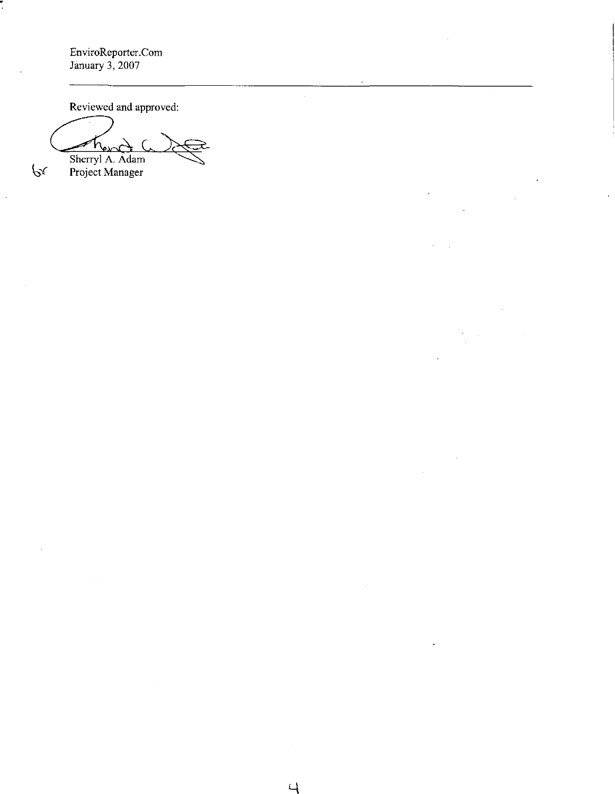EnviroReporter.Com January 3, 2007

Reviewed and approved:

Chand a re Sherryl A. Adam  $\mathcal{P}^{\mathcal{X}}$  Project Manager

 $\ddot{\phantom{a}}$ 

 $\cup$ 

 $\hat{\mathcal{A}}$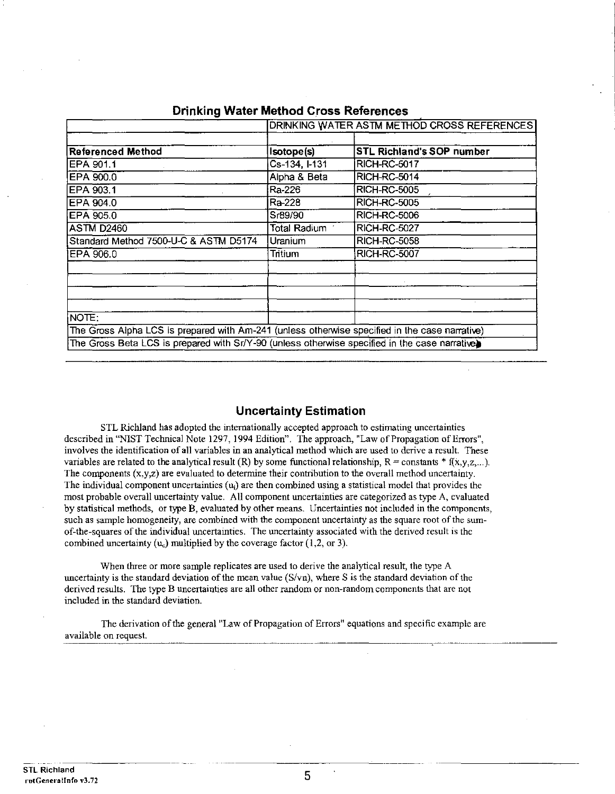|                                                                                                         |                     | DRINKING WATER ASTM METHOD CROSS REFERENCES |
|---------------------------------------------------------------------------------------------------------|---------------------|---------------------------------------------|
| Referenced Method                                                                                       | Isotope(s)          | <b>STL Richland's SOP number</b>            |
| EPA 901.1                                                                                               | Cs-134, I-131       | <b>RICH-RC-5017</b>                         |
| EPA 900.0                                                                                               | Alpha & Beta        | RICH-RC-5014                                |
| EPA 903.1                                                                                               | Ra-226              | RICH-RC-5005                                |
| EPA 904.0                                                                                               | Ra-228              | <b>RICH-RC-5005</b>                         |
| EPA 905.0                                                                                               | Sr89/90             | <b>RICH-RC-5006</b>                         |
| <b>ASTM D2460</b>                                                                                       | <b>Total Radium</b> | RICH-RC-5027                                |
| Standard Method 7500-U-C & ASTM D5174                                                                   | Uranium             | <b>RICH-RC-5058</b>                         |
| EPA 906.0                                                                                               | Tritium             | RICH-RC-5007                                |
|                                                                                                         |                     |                                             |
| NOTE:<br>The Gross Alpha LCS is prepared with Am-241 (unless otherwise specified in the case narrative) |                     |                                             |
| The Gross Beta LCS is prepared with Sr/Y-90 (unless otherwise specified in the case narrative)          |                     |                                             |

## **Drinking Water Method Cross References**

## **Uncertainty Estimation**

STL Richland has adopted the internationally accepted approach to estimating uncertainties described in "NIST Technical Note 1297, 1994 Edition". The approach, "Law of Propagation of Errors", **involves the identification of all variables in an analytical method which are used to derive a result. These**  variables are related to the analytical result (R) by some functional relationship,  $R = \text{constants} * f(x,y,z,...)$ . **The components (x,y,z) are evaluated to determine their contribution to the overall method uncertainty.**  The individual component uncertainties  $(u_i)$  are then combined using a statistical model that provides the **most probable overall uncertainty value. All component uncertainties are categorized as type A, evaluated**  by statistical methods, or type B, evaluated by other means. Uncertainties not included in the components, such as sample homogeneity, are combined with the component uncertainty as the square root of the sum**of-the-squares of the individual uncertainties. The uncertainty associated with the derived result is the**  combined uncertainty  $(u_c)$  multiplied by the coverage factor (1,2, or 3).

When three or more sample replicates are used to derive the analytical result, the type A uncertainty is the standard deviation of the mean value  $(S/vn)$ , where S is the standard deviation of the derived results. The type B uncertainties are all other random or non-random components that are not **included in the standard deviation.** 

The derivation of the general "Law of Propagation of Errors" equations and specific example are **available on request.**  .~~~~~~~~~~~~~~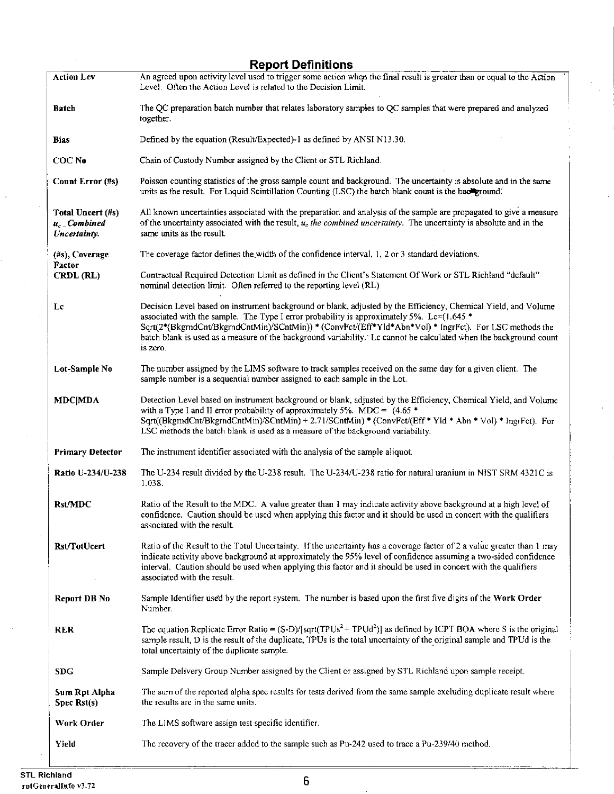|                                                     | <b>Report Definitions</b>                                                                                                                                                                                                                                                                                                                                                                                                                                 |
|-----------------------------------------------------|-----------------------------------------------------------------------------------------------------------------------------------------------------------------------------------------------------------------------------------------------------------------------------------------------------------------------------------------------------------------------------------------------------------------------------------------------------------|
| <b>Action Lev</b>                                   | An agreed upon activity level used to trigger some action when the final result is greater than or equal to the Action<br>Level. Often the Action Level is related to the Decision Limit.                                                                                                                                                                                                                                                                 |
| Batch                                               | The QC preparation batch number that relates laboratory samples to QC samples that were prepared and analyzed<br>together.                                                                                                                                                                                                                                                                                                                                |
| Bias                                                | Defined by the equation (Result/Expected)-1 as defined by ANSI N13.30.                                                                                                                                                                                                                                                                                                                                                                                    |
| COC No                                              | Chain of Custody Number assigned by the Client or STL Richland.                                                                                                                                                                                                                                                                                                                                                                                           |
| Count Error (#s)                                    | Poisson counting statistics of the gross sample count and background. The uncertainty is absolute and in the same<br>units as the result. For Liquid Scintillation Counting (LSC) the batch blank count is the background.                                                                                                                                                                                                                                |
| Total Uncert (#s)<br>$u_c$ Combined<br>Uncertainty. | All known uncertainties associated with the preparation and analysis of the sample are propagated to give a measure<br>of the uncertainty associated with the result, $u_c$ the combined uncertainty. The uncertainty is absolute and in the<br>same units as the result.                                                                                                                                                                                 |
| (#s), Coverage<br>Factor                            | The coverage factor defines the width of the confidence interval, 1, 2 or 3 standard deviations.                                                                                                                                                                                                                                                                                                                                                          |
| CRDL (RL)                                           | Contractual Required Detection Limit as defined in the Client's Statement Of Work or STL Richland "default"<br>nominal detection limit. Often referred to the reporting level (RL)                                                                                                                                                                                                                                                                        |
| Lc                                                  | Decision Level based on instrument background or blank, adjusted by the Efficiency, Chemical Yield, and Volume<br>associated with the sample. The Type I error probability is approximately 5%. Lc= $(1.645*)$<br>Sqrt(2*(BkgrndCnt/BkgrndCntMin)/SCntMin)) * (ConvFet/(Eff*Yld*Abn*Vol) * IngrFct). For LSC methods the<br>batch blank is used as a measure of the background variability. Le cannot be calculated when the background count<br>is zero. |
| Lot-Sample No                                       | The number assigned by the LIMS software to track samples received on the same day for a given client. The<br>sample number is a sequential number assigned to each sample in the Lot.                                                                                                                                                                                                                                                                    |
| <b>MDC</b>  MDA                                     | Detection Level based on instrument background or blank, adjusted by the Efficiency, Chemical Yield, and Volume<br>with a Type I and II error probability of approximately 5%. MDC = $(4.65 *$<br>Sqrt((BkgrndCnt/BkgrndCntMin)/SCntMin) + 2.71/SCntMin) * (ConvFct/(Eff * Yld * Abn * Vol) * IngrFct). For<br>LSC methods the batch blank is used as a measure of the background variability.                                                            |
| <b>Primary Detector</b>                             | The instrument identifier associated with the analysis of the sample aliquot.                                                                                                                                                                                                                                                                                                                                                                             |
| <b>Ratio U-234/U-238</b>                            | The U-234 result divided by the U-238 result. The U-234/U-238 ratio for natural uranium in NIST SRM 4321C is<br>1.038.                                                                                                                                                                                                                                                                                                                                    |
| Rst/MDC                                             | Ratio of the Result to the MDC. A value greater than 1 may indicate activity above background at a high level of<br>confidence. Caution should be used when applying this factor and it should be used in concert with the qualifiers<br>associated with the result.                                                                                                                                                                                      |
| Rst/TotUcert                                        | Ratio of the Result to the Total Uncertainty. If the uncertainty has a coverage factor of 2 a value greater than 1 may<br>indicate activity above background at approximately the 95% level of confidence assuming a two-sided confidence<br>interval. Caution should be used when applying this factor and it should be used in concert with the qualifiers<br>associated with the result.                                                               |
| Report DB No                                        | Sample Identifier used by the report system. The number is based upon the first five digits of the Work Order<br>Number.                                                                                                                                                                                                                                                                                                                                  |
| <b>RER</b>                                          | The equation Replicate Error Ratio = $(S-D)/[sqrt(TPUs^2 + TPUd^2)]$ as defined by ICPT BOA where S is the original<br>sample result, D is the result of the duplicate, TPUs is the total uncertainty of the original sample and TPUd is the<br>total uncertainty of the duplicate sample.                                                                                                                                                                |
| <b>SDG</b>                                          | Sample Delivery Group Number assigned by the Client or assigned by STL Richland upon sample receipt.                                                                                                                                                                                                                                                                                                                                                      |
| Sum Rpt Alpha<br>Spec Rst(s)                        | The sum of the reported alpha spec results for tests derived from the same sample excluding duplicate result where<br>the results are in the same units.                                                                                                                                                                                                                                                                                                  |
| Work Order                                          | The LIMS software assign test specific identifier.                                                                                                                                                                                                                                                                                                                                                                                                        |
| Yield                                               | The recovery of the tracer added to the sample such as Pu-242 used to trace a Pu-239/40 method.                                                                                                                                                                                                                                                                                                                                                           |

!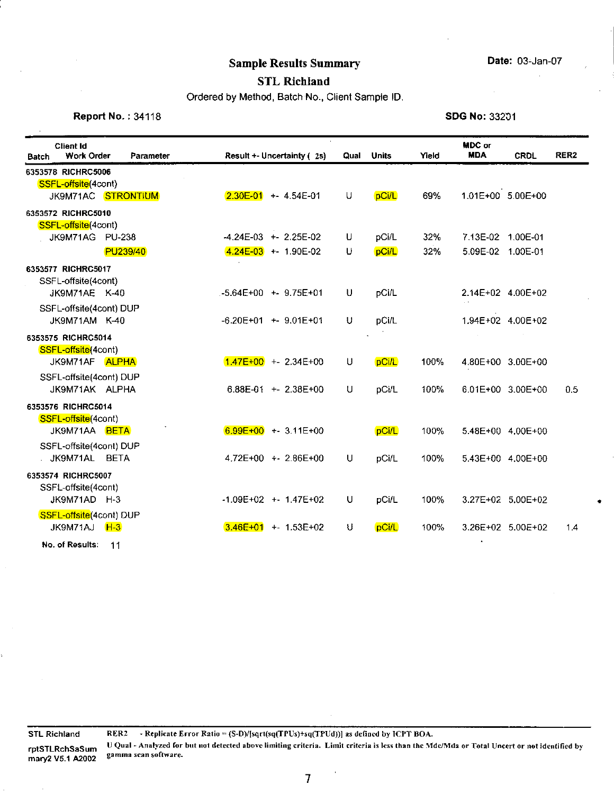•

# **Sample Results Summary <b>Date:** 03-Jan-07

## **STL Richland**

Ordered by Method, Batch No., Client Sample ID.

**Report No. : 34118 SDG No: 33201** 

| <b>Client Id</b><br><b>Work Order</b><br>Batch                  | Parameter |              | Result +- Uncertainty (2s) | Qual | <b>Units</b> | Yield | MDC or<br><b>MDA</b> | <b>CRDL</b>       | RER <sub>2</sub> |
|-----------------------------------------------------------------|-----------|--------------|----------------------------|------|--------------|-------|----------------------|-------------------|------------------|
| 6353578 RICHRC5006<br>SSFL-offsite(4cont)<br>JK9M71AC STRONTIUM |           |              | $2.30E-01$ + 4.54E-01      | U    | pCi/L        | 69%   | 1.01E+00 5.00E+00    |                   |                  |
| 6353572 RICHRC5010                                              |           |              |                            |      |              |       |                      |                   |                  |
| SSFL-offsite(4cont)<br>JK9M71AG PU-238                          |           |              | $-4.24E-03$ + 2.25E-02     | U    | pCi/L        | 32%   | 7.13E-02 1.00E-01    |                   |                  |
| PU239/40                                                        |           |              | $4.24E-03$ + 1.90E-02      | U    | pCi/L        | 32%   | 5.09E-02 1.00E-01    |                   |                  |
| 6353577 RICHRC5017<br>SSFL-offsite(4cont)<br>JK9M71AE K-40      |           |              | $-5.64E+00$ + 9.75E+01     | U    | pCi/L        |       | 2.14E+02 4.00E+02    |                   |                  |
| SSFL-offsite(4cont) DUP<br>JK9M71AM K-40                        |           |              | $-6.20E+01$ + 9.01E+01     | U    | pCi/L        |       | 1.94E+02 4.00E+02    |                   |                  |
| 6353575 RICHRC5014                                              |           |              |                            |      |              |       |                      |                   |                  |
| SSFL-offsite(4cont)<br>JK9M71AF ALPHA                           |           |              | $1.47E+00$ +- 2.34E+00     | U    | pCi/L        | 100%  | 4.80E+00 3.00E+00    |                   |                  |
| SSFL-offsite(4cont) DUP<br>JK9M71AK ALPHA                       |           |              | 6.88E-01 $+$ 2.38E+00      | U    | pCi/L        | 100%  |                      | 6.01E+00 3.00E+00 | 0.5              |
| 6353576 RICHRC5014                                              |           |              |                            |      |              |       |                      |                   |                  |
| SSFL-offsite(4cont)<br>JK9M71AA BETA                            |           |              | $6.99E+00 + 3.11E+00$      |      | pCi/L        | 100%  | 5.48E+00 4.00E+00    |                   |                  |
| SSFL-offsite(4cont) DUP<br>JK9M71AL BETA                        |           |              | 4.72E+00 + - 2.86E+00      | U    | pCi/L        | 100%  |                      | 5.43E+00 4.00E+00 |                  |
| 6353574 RICHRC5007                                              |           |              |                            |      |              |       |                      |                   |                  |
| SSFL-offsite(4cont)<br>JK9M71AD H-3                             |           |              | $-1.09E+02$ + 1.47E+02     | U    | pCi/L        | 100%  |                      | 3.27E+02 5.00E+02 |                  |
| SSFL-offsite(4cont) DUP<br>JK9M71AJ<br><b>H-3</b>               |           | $3.46E + 01$ | $+ 1.53E + 02$             | U    | pCi/L        | 100%  |                      | 3.26E+02 5.00E+02 | 1.4              |
| No. of Results:<br>11                                           |           |              |                            |      |              |       |                      |                   |                  |

**rptSTLRchSaSum**  mary2 VS.1 A2002

**STL Richland RER2 - Replicate Error Ratio = (S-D)/!sqrt(sq(TPUs)+sq(f PUd))] as defined by ICPT BOA.**  U Qual - Analyzed for but not detected above limiting criteria. Limit criteria is less than the Mdc/Mda or Total Uncert or not identified by **gamma scan software.** 

 $\hat{\mathbf{v}}$ 

7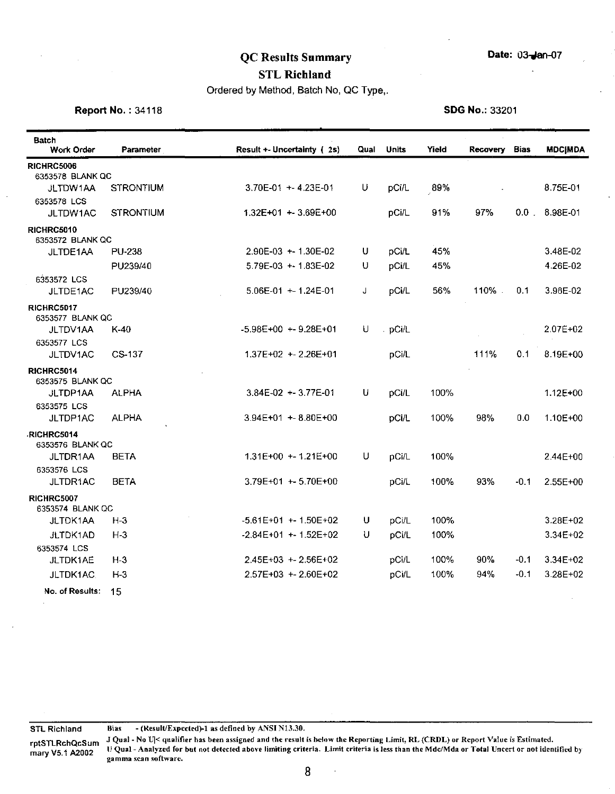# QC Results Summary Date: 03-Jan-07

## STL Richland

Ordered by Method, Batch No, QC Type,.

**Report No. : 34118** SDG No.: 33201

| <b>Batch</b><br>Work Order            | Parameter        | Result +- Uncertainty (2s) | Qual | Units   | Yield | <b>Recovery</b> | <b>Bias</b> | <b>MDC MDA</b> |
|---------------------------------------|------------------|----------------------------|------|---------|-------|-----------------|-------------|----------------|
| <b>RICHRC5006</b>                     |                  |                            |      |         |       |                 |             |                |
| 6353578 BLANK QC                      |                  |                            |      |         |       |                 |             |                |
| JLTDW1AA                              | <b>STRONTIUM</b> | $3.70E-01 + 4.23E-01$      | U    | pCi/L   | 89%   |                 |             | 8.75E-01       |
| 6353578 LCS                           | STRONTIUM        | 1.32E+01 + - 3.69E+00      |      | pCi/L   | 91%   | 97%             | $0.0$ .     | 8.98E-01       |
| JLTDW1AC                              |                  |                            |      |         |       |                 |             |                |
| RICHRC5010<br>6353572 BLANK QC        |                  |                            |      |         |       |                 |             |                |
| JLTDE1AA                              | <b>PU-238</b>    | 2.90E-03 + 1.30E-02        | U    | pCi/L   | 45%   |                 |             | 3.48E-02       |
|                                       | PU239/40         | $5.79E-03 + 1.83E-02$      | U    | pCi/L   | 45%   |                 |             | 4.26E-02       |
| 6353572 LCS                           |                  |                            |      |         |       |                 |             |                |
| JLTDE1AC                              | PU239/40         | $5.06E-01 + 1.24E-01$      | J    | pCi/L   | 56%   | 110%.           | 0.1         | 3.96E-02       |
| RICHRC5017<br>6353577 BLANK QC        |                  |                            |      |         |       |                 |             |                |
| JLTDV1AA                              | K-40             | $-5.98E+00 + 9.28E+01$     | U    | . pCi/L |       |                 |             | $2.07E + 02$   |
| 6353577 LCS                           |                  |                            |      |         |       |                 |             |                |
| JLTDV1AC                              | CS-137           | $1.37E+02 + 2.26E+01$      |      | pCi/L   |       | 111%            | 0.1         | 8.19E+00       |
| RICHRC5014<br>6353575 BLANK QC        |                  |                            |      |         |       |                 |             |                |
| JLTDP1AA                              | <b>ALPHA</b>     | $3.84E-02 + 3.77E-01$      | U    | pCi/L   | 100%  |                 |             | 1.12E+00       |
| 6353575 LCS                           |                  |                            |      |         |       |                 |             |                |
| JLTDP1AC                              | <b>ALPHA</b>     | 3.94E+01 + 8.80E+00        |      | pCi/L   | 100%  | 98%             | 0.0         | 1.10E+00       |
| RICHRC5014                            |                  |                            |      |         |       |                 |             |                |
| 6353576 BLANK QC                      |                  |                            |      |         |       |                 |             |                |
| JLTDR1AA                              | BETA             | $1.31E+00 + 1.21E+00$      | U    | pCi/L   | 100%  |                 |             | $2.44E + 00$   |
| 6353576 LCS<br>JLTDR1AC               | BETA             | 3.79E+01 + 5.70E+00        |      | pCi/L   | 100%  | 93%             | $-0.1$      | 2.55E+00       |
|                                       |                  |                            |      |         |       |                 |             |                |
| <b>RICHRC5007</b><br>6353574 BLANK QC |                  |                            |      |         |       |                 |             |                |
| JLTDK1AA                              | $H-3$            | $-5.61E+01$ + - 1.50E+02   | U    | pCi/L   | 100%  |                 |             | $3.28E + 02$   |
| <b>JLTDK1AD</b>                       | $H-3$            | $-2.84E+01$ + -1.52E+02    | U    | pCi/L   | 100%  |                 |             | 3.34E+02       |
| 6353574 LCS                           |                  |                            |      |         |       |                 |             |                |
| JLTDK1AE                              | $H-3$            | $2.45E+03$ + $2.56E+02$    |      | pCi/L   | 100%  | 90%             | $-0.1$      | $3.34E + 02$   |
| JLTDK1AC                              | $H-3$            | $2.57E+03 + 2.60E+02$      |      | pCi/L   | 100%  | 94%             | $-0.1$      | 3.28E+02       |
| No. of Results:                       | 15               |                            |      |         |       |                 |             |                |

STL Richland Bias - (Result/Expected)-1 as defined by ANSI N13.30.

rptSTLRchQcSum J Qual - No U|< qualifier has been assigned and the result is below the Reporting Limit, RL (CRDL) or Report Value is Estimated. TPG LINCING COUL- Analyzed for but not detected above limiting criteria. Limit criteria is less than the Mdc/Mda or Total Uncert or not identified by<br>mary V5.1 A2002 gamma scan software.

 $\ddot{\phantom{0}}$ 

8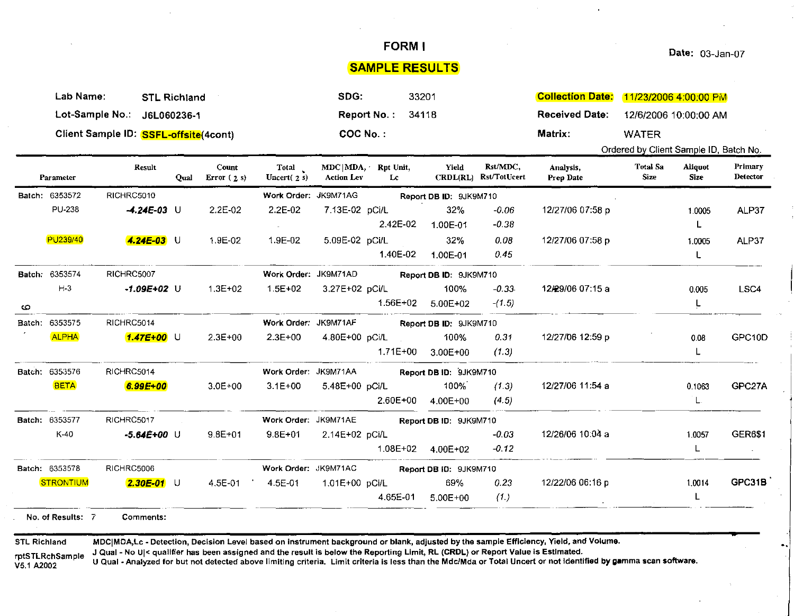SAMPLE RESULTS

|                                                      | Lab Name:<br><b>STL Richland</b> |                                                                                                                               |             |                       |                        | SDG:                                         | 33201    |                        | <b>Collection Date:</b>           | 11/23/2006 4:00:00 PM                                                                                                                                                                                                                                                                                                                                                                                                        |  |  |                     |
|------------------------------------------------------|----------------------------------|-------------------------------------------------------------------------------------------------------------------------------|-------------|-----------------------|------------------------|----------------------------------------------|----------|------------------------|-----------------------------------|------------------------------------------------------------------------------------------------------------------------------------------------------------------------------------------------------------------------------------------------------------------------------------------------------------------------------------------------------------------------------------------------------------------------------|--|--|---------------------|
|                                                      |                                  | Lot-Sample No.:<br>J6L060236-1                                                                                                |             |                       |                        | <b>Report No:</b>                            | 34118    |                        |                                   | <b>Received Date:</b>                                                                                                                                                                                                                                                                                                                                                                                                        |  |  |                     |
|                                                      |                                  | Client Sample ID: SSFL-offsite (4cont)                                                                                        |             |                       |                        | COC No.:                                     |          |                        |                                   | 12/6/2006 10:00:00 AM<br>Matrix:<br><b>WATER</b><br>Ordered by Client Sample ID, Batch No.<br><b>Total Sa</b><br>Aliquot<br>Analysis,<br>Size<br><b>Size</b><br>Prep Date<br>12/27/06 07:58 p<br>1.0005<br>L<br>12/27/06 07:58 p<br>1.0005<br>L<br>12/29/06 07:15 a<br>0.005<br>L<br>12/27/06 12:59 p<br>0.08<br>L<br>12/27/06 11:54 a<br>0.1063<br>L.<br>12/26/06 10:04 a<br>1.0057<br>L<br>12/22/06 06:16 p<br>1.0014<br>L |  |  |                     |
|                                                      |                                  |                                                                                                                               |             |                       |                        |                                              |          |                        |                                   |                                                                                                                                                                                                                                                                                                                                                                                                                              |  |  |                     |
|                                                      | Parameter                        | Result                                                                                                                        | <b>Qual</b> | Count<br>Error $(2s)$ | Total<br>Uncert $(2s)$ | $MDC   MDA$ , Rpt Unit,<br><b>Action Lev</b> | Lc       | Yield                  | Rst/MDC,<br>CRDL(RL) Rst/TotUcert |                                                                                                                                                                                                                                                                                                                                                                                                                              |  |  | Primary<br>Detector |
|                                                      | Batch: 6353572                   | RICHRC5010                                                                                                                    |             |                       | Work Order: JK9M71AG   |                                              |          | Report DB ID: 9JK9M710 |                                   |                                                                                                                                                                                                                                                                                                                                                                                                                              |  |  |                     |
|                                                      | <b>PU-238</b>                    | $-4.24E-03$ U                                                                                                                 |             | 2.2E-02               | 2.2E-02                | 7.13E-02 pCi/L                               |          | 32%                    | $-0.06$                           |                                                                                                                                                                                                                                                                                                                                                                                                                              |  |  | ALP37               |
|                                                      |                                  |                                                                                                                               |             |                       |                        |                                              | 2.42E-02 | 1.00E-01               | $-0.38$                           |                                                                                                                                                                                                                                                                                                                                                                                                                              |  |  |                     |
|                                                      | PU239/40                         | $4.24E-03$ U                                                                                                                  |             | 1.9E-02               | 1.9E-02                | 5.09E-02 pCi/L                               |          | 32%                    | 0.08                              |                                                                                                                                                                                                                                                                                                                                                                                                                              |  |  | ALP37               |
|                                                      |                                  |                                                                                                                               |             |                       |                        |                                              | 1.40E-02 | 1.00E-01               | 0.45                              |                                                                                                                                                                                                                                                                                                                                                                                                                              |  |  |                     |
| Work Order: JK9M71AD<br>Batch: 6353574<br>RICHRC5007 |                                  |                                                                                                                               |             |                       |                        |                                              |          | Report DB ID: 9JK9M710 |                                   |                                                                                                                                                                                                                                                                                                                                                                                                                              |  |  |                     |
|                                                      | $H-3$                            | $-1.09E + 02$ U                                                                                                               |             | $1.3E + 02$           | $1.5E + 02$            | 3.27E+02 pCi/L                               |          | 100%                   | $-0.33$                           |                                                                                                                                                                                                                                                                                                                                                                                                                              |  |  | LSC4                |
| $\circ$                                              |                                  |                                                                                                                               |             |                       |                        |                                              | 1.56E+02 | 5.00E+02               | $-(1.5)$                          |                                                                                                                                                                                                                                                                                                                                                                                                                              |  |  |                     |
|                                                      | Batch: 6353575                   | RICHRC5014                                                                                                                    |             |                       | Work Order: JK9M71AF   |                                              |          | Report DB ID: 9JK9M710 |                                   |                                                                                                                                                                                                                                                                                                                                                                                                                              |  |  |                     |
|                                                      | <b>ALPHA</b>                     | $1.47E + 00$ U                                                                                                                |             | $2.3E + 00$           | $2.3E+00$              | 4.80E+00 pCi/L                               |          | 100%                   | 0.31                              |                                                                                                                                                                                                                                                                                                                                                                                                                              |  |  | GPC10D              |
|                                                      |                                  |                                                                                                                               |             |                       |                        |                                              | 1.71E+00 | $3.00E + 00$           | (1.3)                             |                                                                                                                                                                                                                                                                                                                                                                                                                              |  |  |                     |
|                                                      | Batch: 6353576                   | RICHRC5014                                                                                                                    |             |                       | Work Order: JK9M71AA   |                                              |          | Report DB ID: 9JK9M710 |                                   |                                                                                                                                                                                                                                                                                                                                                                                                                              |  |  |                     |
|                                                      | <b>BETA</b>                      | 6.99E+00                                                                                                                      |             | 3.0E+00               | $3.1E + 00$            | 5.48E+00 pCi/L                               |          | 100%                   | (1.3)                             |                                                                                                                                                                                                                                                                                                                                                                                                                              |  |  | GPC27A              |
|                                                      |                                  |                                                                                                                               |             |                       |                        |                                              | 2.60E+00 | 4.00E+00               | (4.5)                             |                                                                                                                                                                                                                                                                                                                                                                                                                              |  |  |                     |
|                                                      | Batch: 6353577                   | RICHRC5017                                                                                                                    |             |                       | Work Order: JK9M71AE   |                                              |          | Report DB ID: 9JK9M710 |                                   |                                                                                                                                                                                                                                                                                                                                                                                                                              |  |  |                     |
|                                                      | K 40                             | $-5.64E+00$ U                                                                                                                 |             | $9.8E + 01$           | $9.8E + 01$            | 2.14E+02 pCi/L                               |          |                        | $-0.03$                           |                                                                                                                                                                                                                                                                                                                                                                                                                              |  |  | <b>GER6\$1</b>      |
|                                                      |                                  |                                                                                                                               |             |                       |                        |                                              | 1.08E+02 | 4.00E+02               | $-0.12$                           |                                                                                                                                                                                                                                                                                                                                                                                                                              |  |  | $\sim$              |
|                                                      | Batch: 6353578                   | RICHRC5006                                                                                                                    |             |                       | Work Order: JK9M71AC   |                                              |          | Report DB ID: 9JK9M710 |                                   |                                                                                                                                                                                                                                                                                                                                                                                                                              |  |  |                     |
|                                                      | <b>STRONTIUM</b>                 | $2.30E-01$ U                                                                                                                  |             | 4.5E-01               | 4.5E-01<br>19 F        | 1.01E+00 pCi/L                               |          | 69%                    | 0.23                              |                                                                                                                                                                                                                                                                                                                                                                                                                              |  |  | <b>GPC31B</b>       |
|                                                      |                                  |                                                                                                                               |             |                       |                        |                                              | 4.65E-01 | $5.00E + 00$           | (1)                               |                                                                                                                                                                                                                                                                                                                                                                                                                              |  |  |                     |
|                                                      | No. of Results: 7                | Comments:                                                                                                                     |             |                       |                        |                                              |          |                        |                                   |                                                                                                                                                                                                                                                                                                                                                                                                                              |  |  |                     |
| <b>STL Richland</b>                                  |                                  | LOugh, No Ulz austifier has been assigned and the result is below the Penerting Limit. DL (CPDL) or Penert Value is Fstimated |             |                       |                        |                                              |          |                        |                                   | MDC MDA,Lc - Detection, Decision Level based on instrument background or blank, adjusted by the sample Efficiency, Yield, and Volume.                                                                                                                                                                                                                                                                                        |  |  |                     |

rptSTLRchSample V5.1 A2002

J Qual - No UI< qualifier has been assigned and the result is below the Reporting Limit, RL (CRDL) or Report Value is Estimated.

U Qual -Analyzed for but not detected above limiting criteria. Limit criteria is less than the Mdc/Mda or Total Uncert or not Identified by gamma scan software.

FORM I Date: 03-Jan-07

..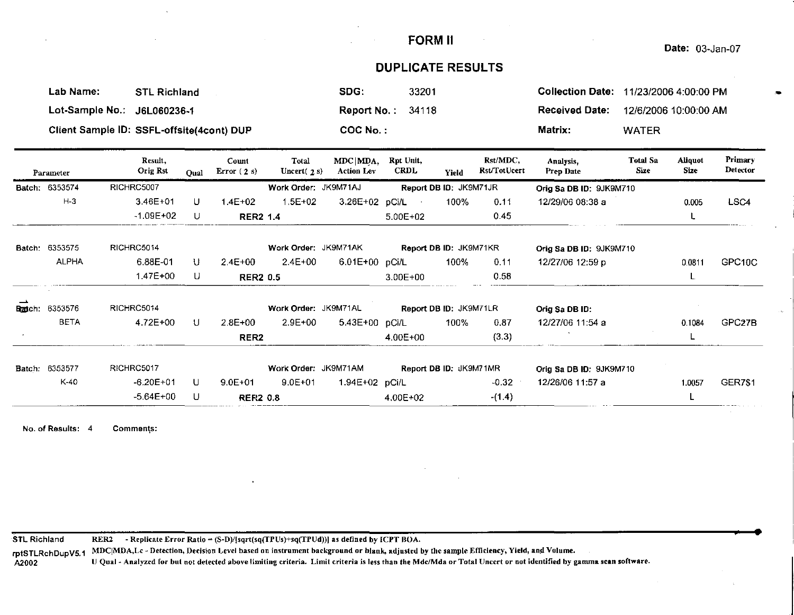#### Date: 03-Jan-07

## **DUPLICATE RESULTS**

| Lab Name:<br><b>STL Richland</b>          | SDG.<br>33201       | Collection Date: 11/23/2006 4:00:00 PM  |
|-------------------------------------------|---------------------|-----------------------------------------|
| Lot-Sample No.: J6L060236-1               | Report No.: $34118$ | Received Date:<br>12/6/2006 10:00:00 AM |
| Client Sample ID: SSFL-offsite(4cont) DUP | $COC$ $No.$ :       | Matrix:<br><b>WATER</b>                 |

| Parameter      | Result,<br><b>Orig Rst</b> | Oual         | Count<br>Error $(2 s)$ | Total<br>Uncert $(2s)$ | $MDC$ $MDA$ .<br><b>Action Lev</b> | Rpt Unit,<br><b>CRDL</b> | Yield                  | Rst/MDC,<br>Rst/TotUcert | Analysis,<br><b>Prep Date</b> | <b>Total Sa</b><br>Size | Aliquot<br>Size | Primary<br>Detector |
|----------------|----------------------------|--------------|------------------------|------------------------|------------------------------------|--------------------------|------------------------|--------------------------|-------------------------------|-------------------------|-----------------|---------------------|
| Batch: 6353574 | RICHRC5007                 |              |                        | Work Order: JK9M71AJ   |                                    |                          | Report DB ID: JK9M71JR |                          | Orig Sa DB ID: 9JK9M710       |                         |                 |                     |
| $H-3$          | $3.46E + 01$               | U            | $1.4E + 02$            | $1.5E + 02$            |                                    | 3.26E+02 pCi/L           | 100%                   | 0.11                     | 12/29/06 08:38 a              |                         | 0.005           | LSC4                |
|                | $-1.09E + 02$              | U            | <b>RER2 1.4</b>        |                        |                                    | $5.00E + 02$             |                        | 0.45                     |                               |                         |                 |                     |
| Batch: 6353575 | RICHRC5014                 |              |                        | Work Order: JK9M71AK   |                                    |                          | Report DB ID: JK9M71KR |                          | Orig Sa DB ID: 9JK9M710       |                         |                 |                     |
| <b>ALPHA</b>   | 6.88E-01                   | u            | $2.4E + 00$            | 2.4E+00                | 6.01E+00 pCi/L                     |                          | 100%                   | 0.11                     | 12/27/06 12:59 p              |                         | 0.0811          | GPC10C              |
|                | 1.47E+00                   | U            | <b>RER2 0.5</b>        |                        |                                    | $3.00E + 00$             |                        | 0.58                     |                               |                         |                 |                     |
| Badch: 6353576 | RICHRC5014                 |              |                        | Work Order: JK9M71AL   |                                    | Report DB ID: JK9M71LR   |                        |                          | Orig Sa DB ID:                |                         |                 |                     |
| <b>BETA</b>    | 4.72E+00                   | -U           | $2.8E + 00$            | $2.9E + 00$            | 5.43E+00 pCi/L                     |                          | 100%                   | 0.87                     | 12/27/06 11:54 a              |                         | 0.1084          | GPC <sub>27B</sub>  |
|                |                            |              | RER <sub>2</sub>       |                        |                                    | $4.00E + 00$             |                        | (3.3)                    |                               |                         |                 |                     |
| Batch: 6353577 | RICHRC5017                 |              |                        | Work Order: JK9M71AM   |                                    |                          | Report DB ID: JK9M71MR |                          | Orig Sa DB ID: 9JK9M710       |                         |                 |                     |
| K-40           | $-6.20E + 01$              | $\mathbf{U}$ | $9.0E + 01$            | $9.0E + 01$            | 1.94E+02 pCi/L                     |                          |                        | $-0.32$                  | 12/26/06 11:57 a              |                         | 1.0057          | <b>GER7\$1</b>      |
|                | $-5.64E + 00$              | U            | <b>RER2 0.8</b>        |                        |                                    | 4.00E+02                 |                        | $-(1.4)$                 |                               |                         | L               |                     |

**No. of Results:** 4 **Commen\s:** 

STL Richland **RER2 - Replicate Error Ratio= (S-D)/(sqrt(sq(TPUs)+sq(TPUd))J as defined by ICPT BOA.** 

**rptSTLRchDupV5.1 MDCiMDA,Lc - Detection, Decision Level based on instrument background or blank, adjusted by the :sample Efficiency, Yield, and Volume.** 

A2002 U Qual - Analyzed for but not detected above limiting criteria. Limit criteria is less than the Mdc/Mda or Total Uncert or not identified by gamma scan software.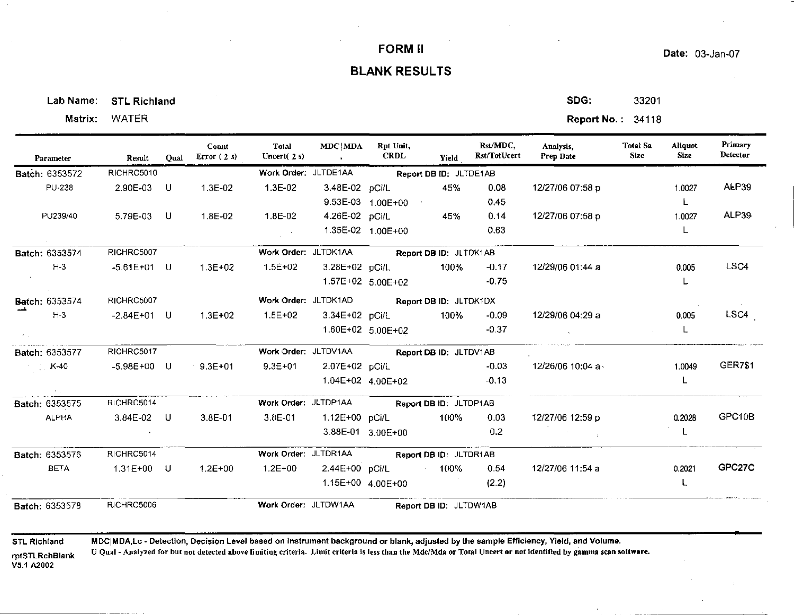## Date: 03-Jan-07

## **BLANK RESULTS**

Lab Name: STL Richland Same Superior (Section 1999) and SDG: SDG: S3201

| Parameter          | Result        | Oual | Count<br>Error $(2s)$ | Total<br>Uncert $(2s)$ | MDC MDA<br>$\sim$ $\sim$ $\sim$ $\sim$ $\sim$ $\sim$ $\sim$ | Rpt Unit,<br>CRDL                           | <b>Yield</b>                  | Rst/MDC<br>Rst/TotUcert | Analysis,<br>Prep Date | Total Sa<br>Size | <b>Aliquot</b><br><b>Size</b> | Primary<br>Detector |
|--------------------|---------------|------|-----------------------|------------------------|-------------------------------------------------------------|---------------------------------------------|-------------------------------|-------------------------|------------------------|------------------|-------------------------------|---------------------|
| Batch: 6353572     | RICHRC5010    |      |                       |                        |                                                             | Work Order: JLTDE1AA Report DB ID: JLTDE1AB |                               |                         |                        |                  |                               |                     |
| <b>PU-238</b>      | 2.90E-03      | U    | $1.3E-02$             | 1.3E-02                |                                                             | 3.48E-02 pCi/L                              | 45%                           | 0.08                    | 12/27/06 07:58 p       |                  | 1.0027                        | <b>ALP39</b>        |
|                    |               |      |                       |                        |                                                             | 9.53E-03  1.00E+00                          |                               | 0.45                    |                        |                  | L.                            |                     |
| PU239/40           | 5.79E-03 U    |      | 1.8E-02               | 1.8E-02                |                                                             | 4.26E-02 pCi/L 45%                          |                               | 0.14                    | 12/27/06 07:58 p       |                  | 1.0027                        | <b>ALP39</b>        |
|                    |               |      |                       |                        |                                                             | 1.35E-02 1.00E+00                           |                               | 0.63                    |                        |                  |                               |                     |
| Batch: 6353574     | RICHRC5007    |      |                       |                        |                                                             | Work Order: JLTDK1AA Report DB ID: JLTDK1AB |                               |                         |                        |                  |                               |                     |
| $H-3$              | $-5.61E+01$ U |      | $1.3E + 02$           | $1.5E + 02$            |                                                             | 3.28E+02 pCi/L 100%                         |                               | $-0.17$                 | 12/29/06 01:44 a       |                  | 0.005                         | LSC4                |
|                    |               |      |                       |                        |                                                             | 1.57E+02 5.00E+02                           |                               | $-0.75$                 |                        |                  | L                             |                     |
| Batch: 6353574     | RICHRC5007    |      |                       |                        |                                                             | Work Order: JLTDK1AD Report DB ID: JLTDK1DX |                               |                         |                        |                  |                               |                     |
| $H-3$              | -2.84E+01 U   |      | 1.3E+02               | 1.5E+02                |                                                             | 3.34E+02 pCi/L                              | 100%                          | $-0.09$                 | 12/29/06 04:29 a       |                  | 0.005                         | LSC4                |
|                    |               |      |                       |                        |                                                             | $1.60E+02$ 5.00E+02                         |                               | $-0.37$                 |                        |                  | L.                            |                     |
| Batch: 6353577     | RICHRC5017    |      |                       |                        |                                                             | Work Order: JLTDV1AA Report DB ID: JLTDV1AB |                               |                         |                        |                  |                               |                     |
| $\sim$ $\sim$ K-40 | $-5.98E+00$ U |      | $9.3E+01$             | $9.3E+01$              | 2.07E+02 pCi/L                                              |                                             |                               | $-0.03$                 | 12/26/06 10:04 a       |                  | 1.0049                        | <b>GER7\$1</b>      |
| <b>Contract</b>    |               |      |                       |                        |                                                             | 1.04E+02 4.00E+02                           |                               | $-0.13$                 |                        |                  |                               |                     |
| Batch: 6353575     | RICHRC5014    |      |                       |                        |                                                             | Work Order: JLTDP1AA Report DB ID: JLTDP1AB |                               |                         |                        |                  |                               |                     |
| <b>ALPHA</b>       | $3.84E-02$ U  |      | $3.8E - 01$           |                        |                                                             | 3.8E-01  1.12E+00    pCi/L   100%           |                               | 0.03                    | 12/27/06 12:59 p       |                  | 0.2028                        | GPC <sub>10B</sub>  |
|                    |               |      |                       |                        |                                                             | 3.88E-01 3.00E+00                           |                               | 0.2                     |                        |                  |                               |                     |
| Batch: 6353576     | RICHRC5014    |      |                       |                        |                                                             | Work Order: JLTDR1AA Report DB ID: JLTDR1AB |                               |                         |                        |                  |                               |                     |
| <b>BETA</b>        | 1.31E+00 U    |      | $1.2E + 00$           | $1.2E + 00$            |                                                             | 2.44E+00 pCi/L 100%                         |                               | 0.54                    | 12/27/06 11:54 a       |                  | 0.2021                        | GPC27C              |
|                    |               |      |                       |                        |                                                             | 1.15E+00  4.00E+00                          |                               | (2.2)                   |                        |                  | L.                            |                     |
| Batch: 6353578     | RICHRC5006    |      |                       | Work Order: JLTDW1AA   |                                                             |                                             | <b>Report DB ID: JLTDW1AB</b> |                         |                        |                  |                               |                     |

**STL Richland** 

**MDCIMDA,Lc** ~Detection, **Decision Level based on instrument background or blank, adjusted by the sample Efficiency, Yield, and Volume.** 

**rptSTLRchBlank U Qual - Analyzed for but not detected above limiting criteria. Limit criteria is less than the MdcJMda or Total Uncert or not identified by gamma scan software.** 

VS.1 A2002

Matrix: WATER **Report No.: 34118**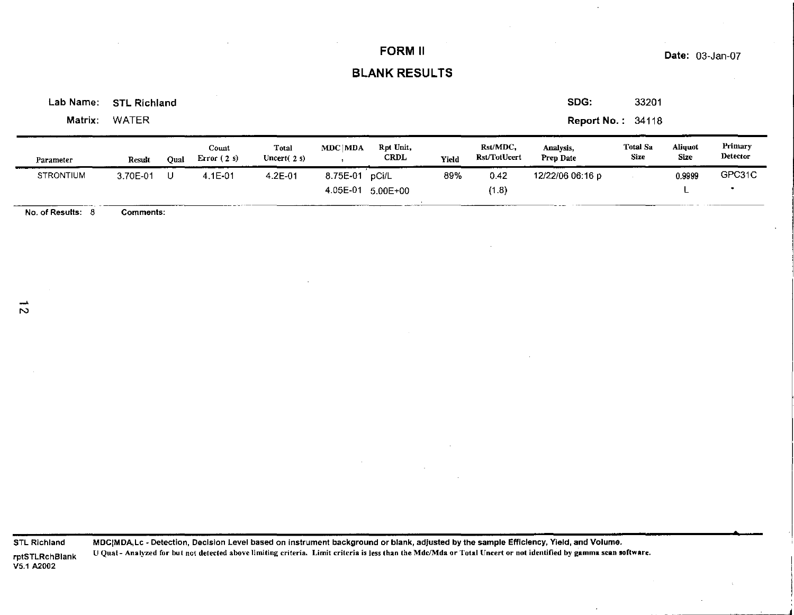## Date: 03-Jan-07

## BLANK RESULTS

Lab Name: STL Richland

Matrix: WATER

SDG: 33201

Report No.: 34118

| Parameter                   | Result   | Oual | Count<br>Error $(2s)$ | Total<br>Uncert $(2s)$ | MDC MDA              | Rpt Unit,<br>CRDL     | Yield | Rst/MDC.<br>Rst/TotUcert | Analysis.<br><b>Prep Date</b> | Total Sa<br>Size | Aliquot<br>Size | Primary<br>Detector |
|-----------------------------|----------|------|-----------------------|------------------------|----------------------|-----------------------|-------|--------------------------|-------------------------------|------------------|-----------------|---------------------|
| <b>STRONTIUM</b><br>_______ | 3.70E-01 |      | 4.1E-01               | $4.2E - 01$            | 8.75E-01<br>4.05E-01 | pCi/L<br>$5.00E + 00$ | 89%   | 0.42<br>(1.8)            | 12/22/06 06:16 p              |                  | 0.9999          | GPC31C              |

No. of Results: 8 Comments:

STL Richland rptSTLRchBlank VS.1 A2002

MDCIMDA,Lc - Detection, Decision Level based on instrument background or blank, adjusted by the sample Efficiency, Yield, and Volume. U Qual - Analyzed for but not detected above limiting criteria. Limit criteria is less than the Mdc/Mda or Total Uncert or not identified by gamma scan software.